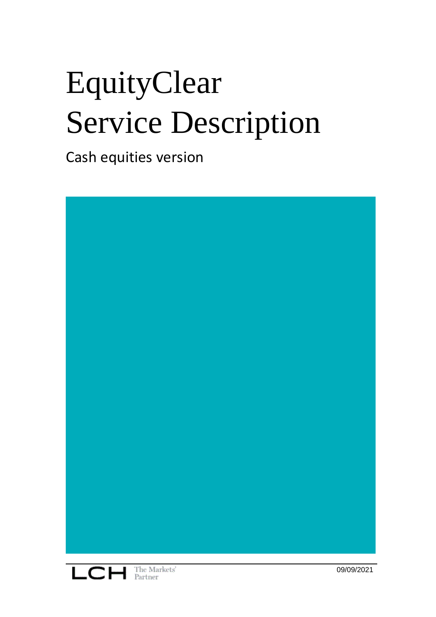# EquityClear Service Description

Cash equities version

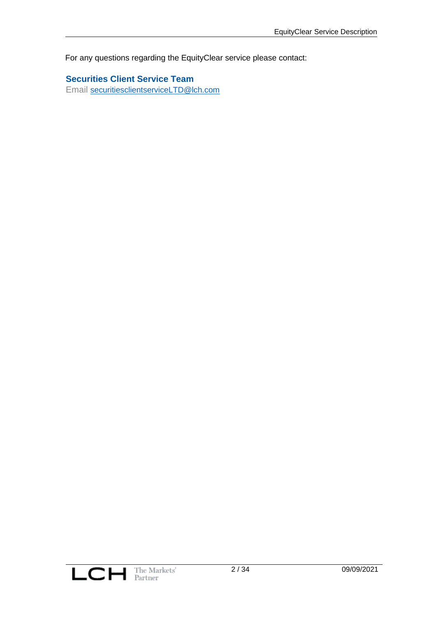For any questions regarding the EquityClear service please contact:

**Securities Client Service Team** Email [securitiesclientserviceLTD@lch.com](mailto:securitiesclientserviceLTD@lch.com)

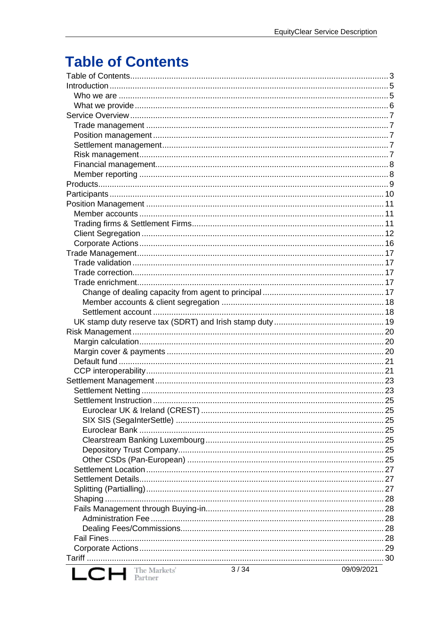# <span id="page-2-0"></span>**Table of Contents**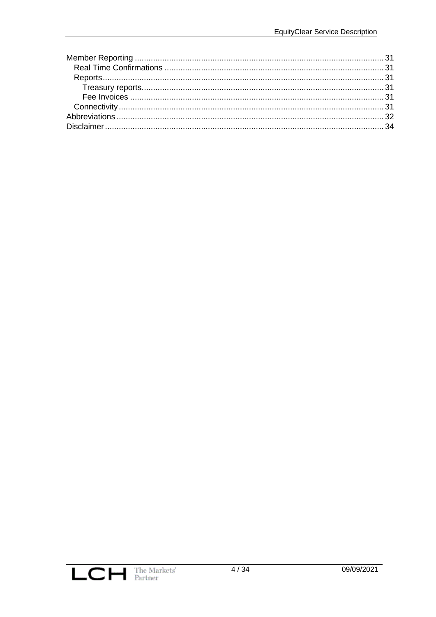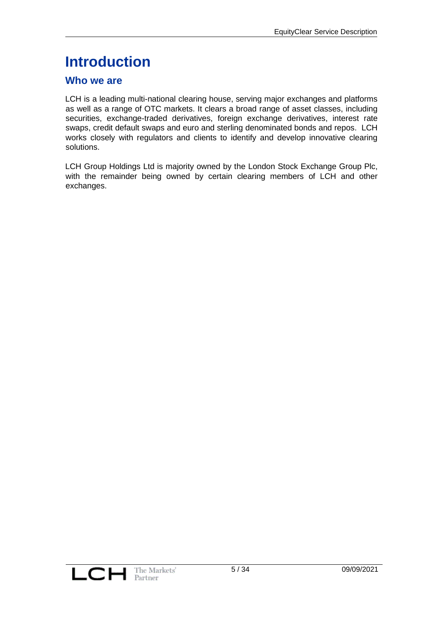# <span id="page-4-0"></span>**Introduction**

#### <span id="page-4-1"></span>**Who we are**

LCH is a leading multi-national clearing house, serving major exchanges and platforms as well as a range of OTC markets. It clears a broad range of asset classes, including securities, exchange-traded derivatives, foreign exchange derivatives, interest rate swaps, credit default swaps and euro and sterling denominated bonds and repos. LCH works closely with regulators and clients to identify and develop innovative clearing solutions.

LCH Group Holdings Ltd is majority owned by the London Stock Exchange Group Plc, with the remainder being owned by certain clearing members of LCH and other exchanges.

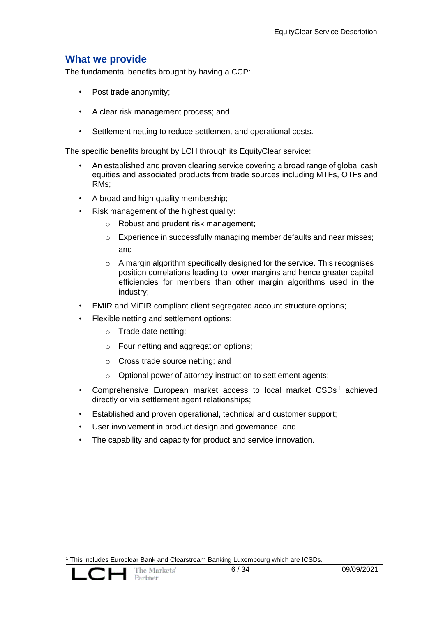## <span id="page-5-0"></span>**What we provide**

The fundamental benefits brought by having a CCP:

- Post trade anonymity;
- A clear risk management process; and
- Settlement netting to reduce settlement and operational costs.

The specific benefits brought by LCH through its EquityClear service:

- An established and proven clearing service covering a broad range of global cash equities and associated products from trade sources including MTFs, OTFs and RMs;
- A broad and high quality membership;
- Risk management of the highest quality:
	- o Robust and prudent risk management;
	- o Experience in successfully managing member defaults and near misses; and
	- o A margin algorithm specifically designed for the service. This recognises position correlations leading to lower margins and hence greater capital efficiencies for members than other margin algorithms used in the industry;
- EMIR and MiFIR compliant client segregated account structure options;
- Flexible netting and settlement options:
	- o Trade date netting;
	- o Four netting and aggregation options;
	- o Cross trade source netting; and
	- o Optional power of attorney instruction to settlement agents;
- Comprehensive European market access to local market CSDs<sup>1</sup> achieved directly or via settlement agent relationships;
- Established and proven operational, technical and customer support;
- User involvement in product design and governance; and
- The capability and capacity for product and service innovation.

<sup>1</sup> This includes Euroclear Bank and Clearstream Banking Luxembourg which are ICSDs.

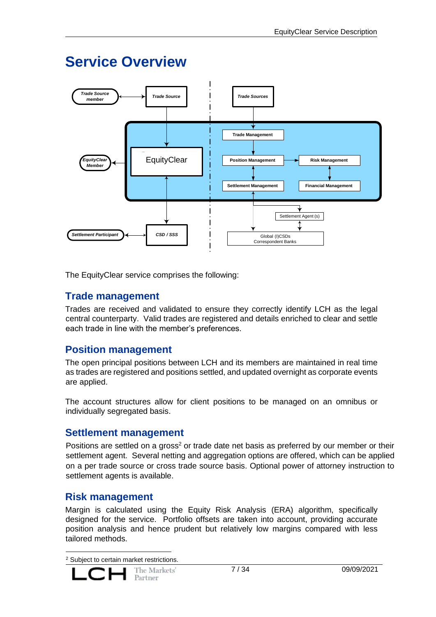# <span id="page-6-0"></span>**Service Overview**



The EquityClear service comprises the following:

## <span id="page-6-1"></span>**Trade management**

Trades are received and validated to ensure they correctly identify LCH as the legal central counterparty. Valid trades are registered and details enriched to clear and settle each trade in line with the member's preferences.

# <span id="page-6-2"></span>**Position management**

The open principal positions between LCH and its members are maintained in real time as trades are registered and positions settled, and updated overnight as corporate events are applied.

The account structures allow for client positions to be managed on an omnibus or individually segregated basis.

#### <span id="page-6-3"></span>**Settlement management**

Positions are settled on a gross<sup>2</sup> or trade date net basis as preferred by our member or their settlement agent. Several netting and aggregation options are offered, which can be applied on a per trade source or cross trade source basis. Optional power of attorney instruction to settlement agents is available.

#### <span id="page-6-4"></span>**Risk management**

Margin is calculated using the [Equity Risk An](http://www.lchclearnet.com/Images/LCH%20ERA%20TIP%20v2.0_tcm6-41103.doc)alysis (ERA) algorithm, specifically designed for the service. Portfolio offsets are taken into account, providing accurate position analysis and hence prudent but relatively low margins compared with less tailored methods.

<sup>2</sup> Subject to certain market restrictions.

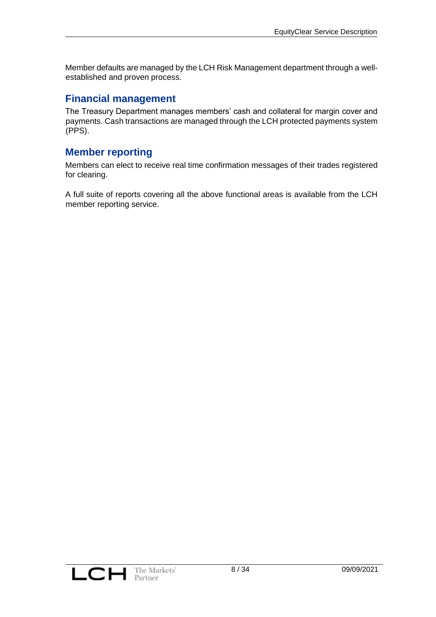Member defaults are managed by the LCH Risk Management department through a wellestablished and proven process.

#### <span id="page-7-0"></span>**Financial management**

The Treasury Department manages members' cash and collateral for margin cover and payments. Cash transactions are managed through the LCH protected payments system (PPS).

#### <span id="page-7-1"></span>**Member reporting**

Members can elect to receive real time confirmation messages of their trades registered for clearing.

A full suite of reports covering all the above functional areas is available from the LCH member reporting service.

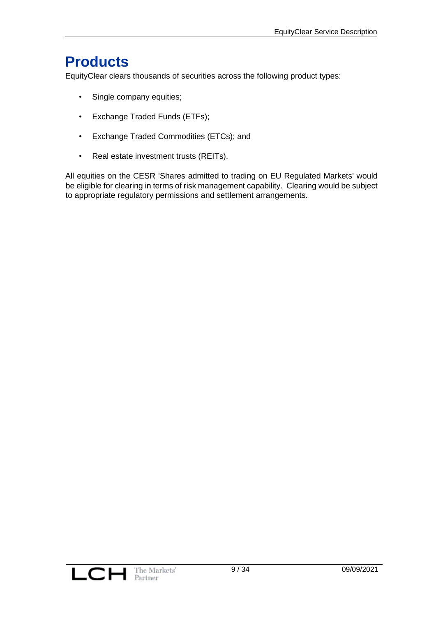# <span id="page-8-0"></span>**Products**

EquityClear clears thousands of securities across the following product types:

- Single company equities;
- Exchange Traded Funds (ETFs);
- Exchange Traded Commodities (ETCs); and
- Real estate investment trusts (REITs).

All equities on the CESR 'Shares admitted to trading on EU Regulated Markets' would be eligible for clearing in terms of risk management capability. Clearing would be subject to appropriate regulatory permissions and settlement arrangements.

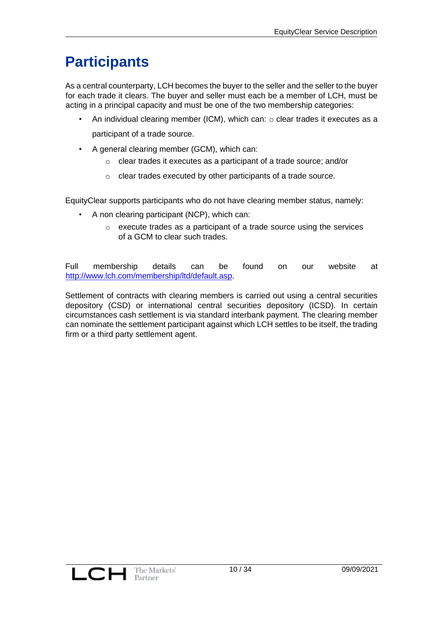# <span id="page-9-0"></span>**Participants**

As a central counterparty, LCH becomes the buyer to the seller and the seller to the buyer for each trade it clears. The buyer and seller must each be a member of LCH, must be acting in a principal capacity and must be one of the two membership categories:

- An individual clearing member (ICM), which can:  $\circ$  clear trades it executes as a participant of a trade source.
- A general clearing member (GCM), which can:
	- o clear trades it executes as a participant of a trade source; and/or
	- o clear trades executed by other participants of a trade source.

EquityClear supports participants who do not have clearing member status, namely:

- A non clearing participant (NCP), which can:
	- o execute trades as a participant of a trade source using the services of a GCM to clear such trades.

Full membership details can be found on our website at [http://www.lch.com/membership/ltd/default.asp.](http://www.lch.com/membership/ltd/default.asp)

Settlement of contracts with clearing members is carried out using a central securities depository (CSD) or international central securities depository (ICSD). In certain circumstances cash settlement is via standard interbank payment. The clearing member can nominate the settlement participant against which LCH settles to be itself, the trading firm or a third party settlement agent.

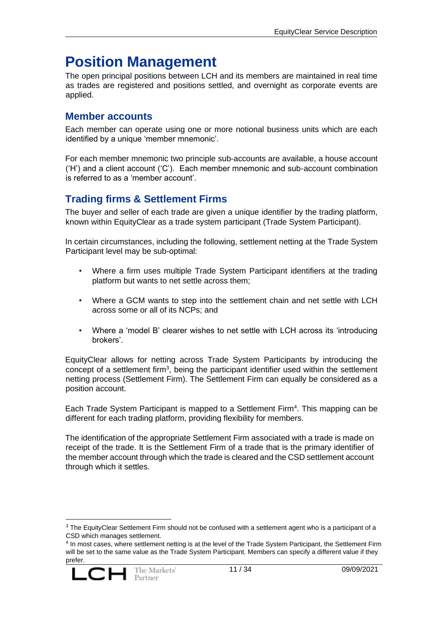# <span id="page-10-0"></span>**Position Management**

The open principal positions between LCH and its members are maintained in real time as trades are registered and positions settled, and overnight as corporate events are applied.

#### <span id="page-10-1"></span>**Member accounts**

Each member can operate using one or more notional business units which are each identified by a unique 'member mnemonic'.

For each member mnemonic two principle sub-accounts are available, a house account ('H') and a client account ('C'). Each member mnemonic and sub-account combination is referred to as a 'member account'.

# <span id="page-10-2"></span>**Trading firms & Settlement Firms**

The buyer and seller of each trade are given a unique identifier by the trading platform, known within EquityClear as a trade system participant (Trade System Participant).

In certain circumstances, including the following, settlement netting at the Trade System Participant level may be sub-optimal:

- Where a firm uses multiple Trade System Participant identifiers at the trading platform but wants to net settle across them;
- Where a GCM wants to step into the settlement chain and net settle with LCH across some or all of its NCPs; and
- Where a 'model B' clearer wishes to net settle with LCH across its 'introducing brokers'.

EquityClear allows for netting across Trade System Participants by introducing the concept of a settlement firm<sup>3</sup>, being the participant identifier used within the settlement netting process (Settlement Firm). The Settlement Firm can equally be considered as a position account.

Each Trade System Participant is mapped to a Settlement Firm<sup>4</sup>. This mapping can be different for each trading platform, providing flexibility for members.

The identification of the appropriate Settlement Firm associated with a trade is made on receipt of the trade. It is the Settlement Firm of a trade that is the primary identifier of the member account through which the trade is cleared and the CSD settlement account through which it settles.

<sup>4</sup> In most cases, where settlement netting is at the level of the Trade System Participant, the Settlement Firm will be set to the same value as the Trade System Participant. Members can specify a different value if they prefer.



<sup>&</sup>lt;sup>3</sup> The EquityClear Settlement Firm should not be confused with a settlement agent who is a participant of a CSD which manages settlement.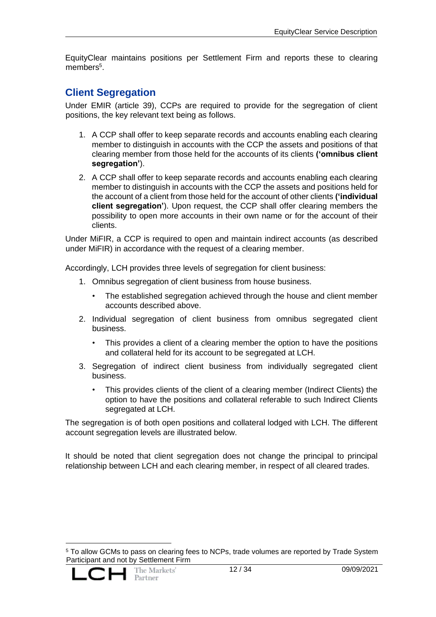EquityClear maintains positions per Settlement Firm and reports these to clearing members<sup>5</sup>.

#### <span id="page-11-0"></span>**Client Segregation**

Under EMIR (article 39), CCPs are required to provide for the segregation of client positions, the key relevant text being as follows.

- 1. A CCP shall offer to keep separate records and accounts enabling each clearing member to distinguish in accounts with the CCP the assets and positions of that clearing member from those held for the accounts of its clients **('omnibus client segregation'**).
- 2. A CCP shall offer to keep separate records and accounts enabling each clearing member to distinguish in accounts with the CCP the assets and positions held for the account of a client from those held for the account of other clients **('individual client segregation'**). Upon request, the CCP shall offer clearing members the possibility to open more accounts in their own name or for the account of their clients.

Under MiFIR, a CCP is required to open and maintain indirect accounts (as described under MiFIR) in accordance with the request of a clearing member.

Accordingly, LCH provides three levels of segregation for client business:

- 1. Omnibus segregation of client business from house business.
	- The established segregation achieved through the house and client member accounts described above.
- 2. Individual segregation of client business from omnibus segregated client business.
	- This provides a client of a clearing member the option to have the positions and collateral held for its account to be segregated at LCH.
- 3. Segregation of indirect client business from individually segregated client business.
	- This provides clients of the client of a clearing member (Indirect Clients) the option to have the positions and collateral referable to such Indirect Clients segregated at LCH.

The segregation is of both open positions and collateral lodged with LCH. The different account segregation levels are illustrated below.

It should be noted that client segregation does not change the principal to principal relationship between LCH and each clearing member, in respect of all cleared trades.

<sup>5</sup> To allow GCMs to pass on clearing fees to NCPs, trade volumes are reported by Trade System Participant and not by Settlement Firm

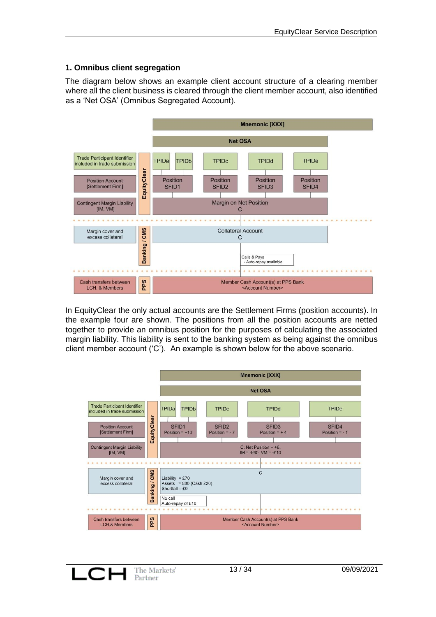#### **1. Omnibus client segregation**

The diagram below shows an example client account structure of a clearing member where all the client business is cleared through the client member account, also identified as a 'Net OSA' (Omnibus Segregated Account).



In EquityClear the only actual accounts are the Settlement Firms (position accounts). In the example four are shown. The positions from all the position accounts are netted together to provide an omnibus position for the purposes of calculating the associated margin liability. This liability is sent to the banking system as being against the omnibus client member account ('C'). An example is shown below for the above scenario.



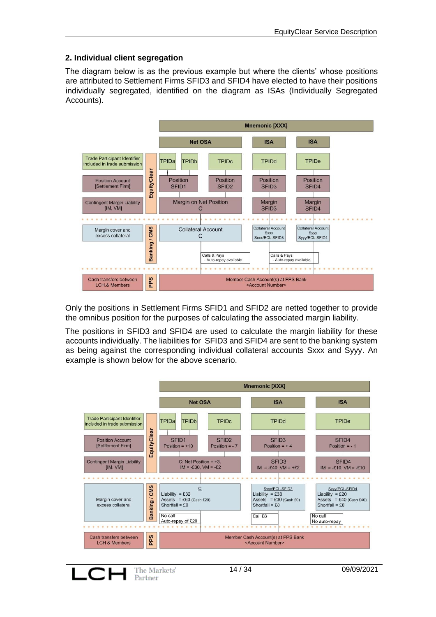#### **2. Individual client segregation**

The diagram below is as the previous example but where the clients' whose positions are attributed to Settlement Firms SFID3 and SFID4 have elected to have their positions individually segregated, identified on the diagram as ISAs (Individually Segregated Accounts).



Only the positions in Settlement Firms SFID1 and SFID2 are netted together to provide the omnibus position for the purposes of calculating the associated margin liability.

The positions in SFID3 and SFID4 are used to calculate the margin liability for these accounts individually. The liabilities for SFID3 and SFID4 are sent to the banking system as being against the corresponding individual collateral accounts Sxxx and Syyy. An example is shown below for the above scenario.

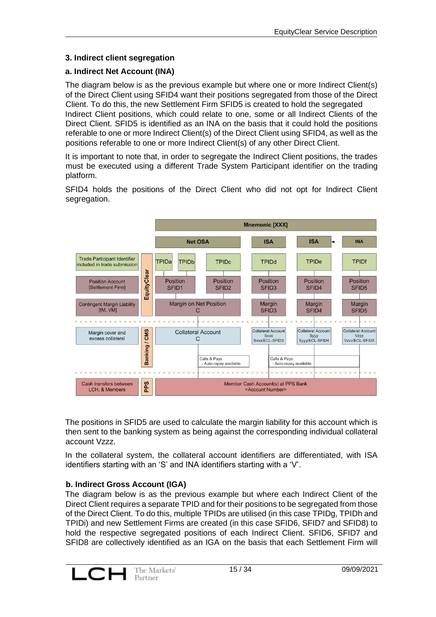#### **3. Indirect client segregation**

#### **a. Indirect Net Account (INA)**

The diagram below is as the previous example but where one or more Indirect Client(s) of the Direct Client using SFID4 want their positions segregated from those of the Direct Client. To do this, the new Settlement Firm SFID5 is created to hold the segregated Indirect Client positions, which could relate to one, some or all Indirect Clients of the Direct Client. SFID5 is identified as an INA on the basis that it could hold the positions referable to one or more Indirect Client(s) of the Direct Client using SFID4, as well as the positions referable to one or more Indirect Client(s) of any other Direct Client.

It is important to note that, in order to segregate the Indirect Client positions, the trades must be executed using a different Trade System Participant identifier on the trading platform.

SFID4 holds the positions of the Direct Client who did not opt for Indirect Client segregation.



The positions in SFID5 are used to calculate the margin liability for this account which is then sent to the banking system as being against the corresponding individual collateral account Vzzz.

In the collateral system, the collateral account identifiers are differentiated, with ISA identifiers starting with an 'S' and INA identifiers starting with a 'V'.

#### **b. Indirect Gross Account (IGA)**

The diagram below is as the previous example but where each Indirect Client of the Direct Client requires a separate TPID and for their positions to be segregated from those of the Direct Client. To do this, multiple TPIDs are utilised (in this case TPIDg, TPIDh and TPIDi) and new Settlement Firms are created (in this case SFID6, SFID7 and SFID8) to hold the respective segregated positions of each Indirect Client. SFID6, SFID7 and SFID8 are collectively identified as an IGA on the basis that each Settlement Firm will

![](_page_14_Picture_11.jpeg)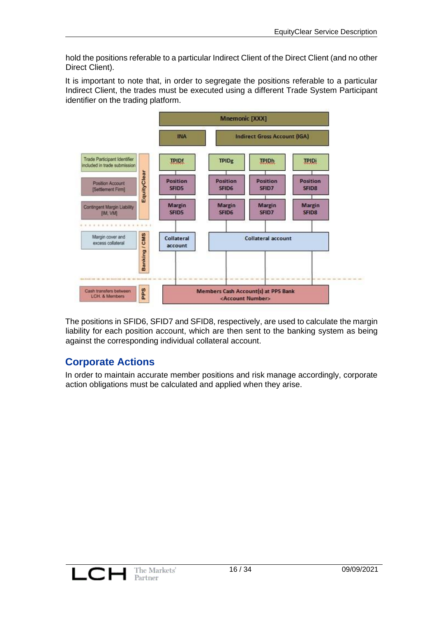hold the positions referable to a particular Indirect Client of the Direct Client (and no other Direct Client).

It is important to note that, in order to segregate the positions referable to a particular Indirect Client, the trades must be executed using a different Trade System Participant identifier on the trading platform.

![](_page_15_Figure_3.jpeg)

The positions in SFID6, SFID7 and SFID8, respectively, are used to calculate the margin liability for each position account, which are then sent to the banking system as being against the corresponding individual collateral account.

# <span id="page-15-0"></span>**Corporate Actions**

In order to maintain accurate member positions and risk manage accordingly, corporate action obligations must be calculated and applied when they arise.

![](_page_15_Picture_7.jpeg)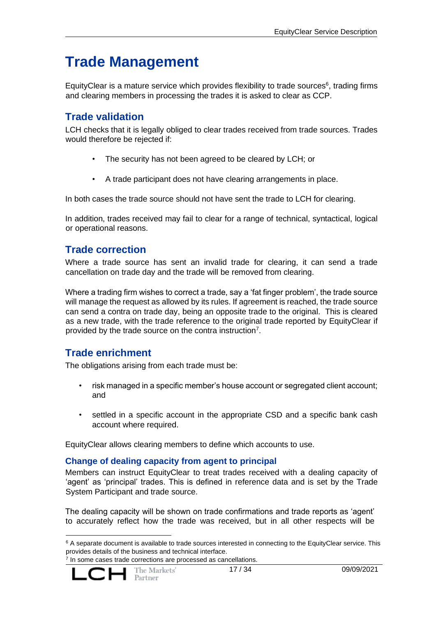# <span id="page-16-0"></span>**Trade Management**

Equity Clear is a mature service which provides flexibility to trade sources $6$ , trading firms and clearing members in processing the trades it is asked to clear as CCP.

## <span id="page-16-1"></span>**Trade validation**

LCH checks that it is legally obliged to clear trades received from trade sources. Trades would therefore be rejected if:

- The security has not been agreed to be cleared by LCH; or
- A trade participant does not have clearing arrangements in place.

In both cases the trade source should not have sent the trade to LCH for clearing.

In addition, trades received may fail to clear for a range of technical, syntactical, logical or operational reasons.

## <span id="page-16-2"></span>**Trade correction**

Where a trade source has sent an invalid trade for clearing, it can send a trade cancellation on trade day and the trade will be removed from clearing.

Where a trading firm wishes to correct a trade, say a 'fat finger problem', the trade source will manage the request as allowed by its rules. If agreement is reached, the trade source can send a contra on trade day, being an opposite trade to the original. This is cleared as a new trade, with the trade reference to the original trade reported by EquityClear if provided by the trade source on the contra instruction<sup>7</sup>.

# <span id="page-16-3"></span>**Trade enrichment**

The obligations arising from each trade must be:

- risk managed in a specific member's house account or segregated client account; and
- settled in a specific account in the appropriate CSD and a specific bank cash account where required.

EquityClear allows clearing members to define which accounts to use.

#### <span id="page-16-4"></span>**Change of dealing capacity from agent to principal**

Members can instruct EquityClear to treat trades received with a dealing capacity of 'agent' as 'principal' trades. This is defined in reference data and is set by the Trade System Participant and trade source.

The dealing capacity will be shown on trade confirmations and trade reports as 'agent' to accurately reflect how the trade was received, but in all other respects will be

<sup>&</sup>lt;sup>7</sup> In some cases trade corrections are processed as cancellations.

![](_page_16_Picture_22.jpeg)

 $6$  A separate document is available to trade sources interested in connecting to the EquityClear service. This provides details of the business and technical interface.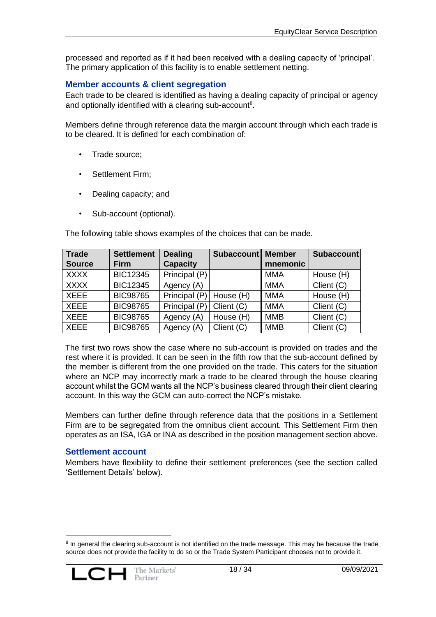processed and reported as if it had been received with a dealing capacity of 'principal'. The primary application of this facility is to enable settlement netting.

#### <span id="page-17-0"></span>**Member accounts & client segregation**

Each trade to be cleared is identified as having a dealing capacity of principal or agency and optionally identified with a clearing sub-account<sup>8</sup>.

Members define through reference data the margin account through which each trade is to be cleared. It is defined for each combination of:

- Trade source:
- Settlement Firm;
- Dealing capacity; and
- Sub-account (optional).

The following table shows examples of the choices that can be made.

| <b>Trade</b>  | <b>Settlement</b> | <b>Dealing</b>  | Subaccount | <b>Member</b> | <b>Subaccount</b> |
|---------------|-------------------|-----------------|------------|---------------|-------------------|
| <b>Source</b> | <b>Firm</b>       | <b>Capacity</b> |            | mnemonic      |                   |
| <b>XXXX</b>   | <b>BIC12345</b>   | Principal (P)   |            | <b>MMA</b>    | House (H)         |
| <b>XXXX</b>   | <b>BIC12345</b>   | Agency (A)      |            | <b>MMA</b>    | Client (C)        |
| <b>XEEE</b>   | <b>BIC98765</b>   | Principal (P)   | House (H)  | <b>MMA</b>    | House (H)         |
| <b>XEEE</b>   | <b>BIC98765</b>   | Principal (P)   | Client (C) | <b>MMA</b>    | Client (C)        |
| <b>XEEE</b>   | <b>BIC98765</b>   | Agency (A)      | House (H)  | <b>MMB</b>    | Client (C)        |
| <b>XEEE</b>   | <b>BIC98765</b>   | Agency (A)      | Client (C) | <b>MMB</b>    | Client (C)        |

The first two rows show the case where no sub-account is provided on trades and the rest where it is provided. It can be seen in the fifth row that the sub-account defined by the member is different from the one provided on the trade. This caters for the situation where an NCP may incorrectly mark a trade to be cleared through the house clearing account whilst the GCM wants all the NCP's business cleared through their client clearing account. In this way the GCM can auto-correct the NCP's mistake.

Members can further define through reference data that the positions in a Settlement Firm are to be segregated from the omnibus client account. This Settlement Firm then operates as an ISA, IGA or INA as described in the position management section above.

#### <span id="page-17-1"></span>**Settlement account**

Members have flexibility to define their settlement preferences (see the section called 'Settlement Details' below).

<sup>&</sup>lt;sup>8</sup> In general the clearing sub-account is not identified on the trade message. This may be because the trade source does not provide the facility to do so or the Trade System Participant chooses not to provide it.

![](_page_17_Picture_16.jpeg)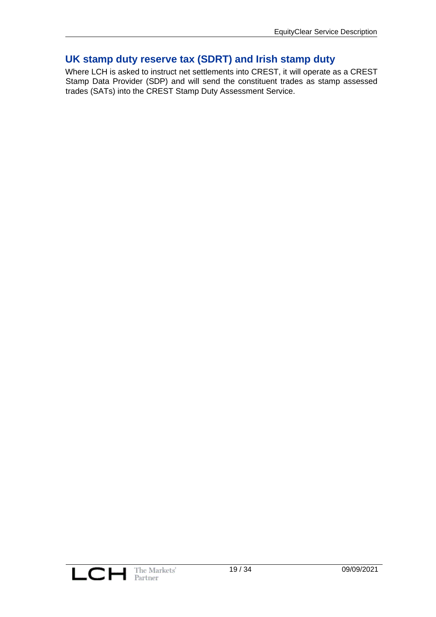# <span id="page-18-0"></span>**UK stamp duty reserve tax (SDRT) and Irish stamp duty**

Where LCH is asked to instruct net settlements into CREST, it will operate as a CREST Stamp Data Provider (SDP) and will send the constituent trades as stamp assessed trades (SATs) into the CREST Stamp Duty Assessment Service.

![](_page_18_Picture_3.jpeg)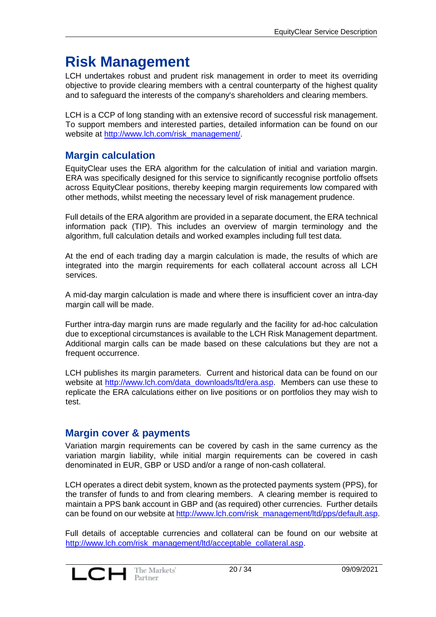# <span id="page-19-0"></span>**Risk Management**

LCH undertakes robust and prudent risk management in order to meet its overriding objective to provide clearing members with a central counterparty of the highest quality and to safeguard the interests of the company's shareholders and clearing members.

LCH is a CCP of long standing with an extensive record of successful risk management. To support members and interested parties, detailed information can be found on our website at [http://www.lch.com/risk\\_management/.](http://www.lchclearnet.com/risk_management/)

#### <span id="page-19-1"></span>**Margin calculation**

EquityClear uses the ERA algorithm for the calculation of initial and variation margin. ERA was specifically designed for this service to significantly recognise portfolio offsets across EquityClear positions, thereby keeping margin requirements low compared with other methods, whilst meeting the necessary level of risk management prudence.

Full details of the ERA algorithm are provided in a separate document, the ERA technical information pack (TIP). This includes an overview of margin terminology and the algorithm, full calculation details and worked examples including full test data.

At the end of each trading day a margin calculation is made, the results of which are integrated into the margin requirements for each collateral account across all LCH services.

A mid-day margin calculation is made and where there is insufficient cover an intra-day margin call will be made.

Further intra-day margin runs are made regularly and the facility for ad-hoc calculation due to exceptional circumstances is available to the LCH Risk Management department. Additional margin calls can be made based on these calculations but they are not a frequent occurrence.

LCH publishes its margin parameters. Current and historical data can be found on our website at [http://www.lch.com/data\\_downloads/ltd/era.asp.](http://www.lch.com/data_downloads/ltd/era.asp) Members can use these to replicate the ERA calculations either on live positions or on portfolios they may wish to test.

# <span id="page-19-2"></span>**Margin cover & payments**

Variation margin requirements can be covered by cash in the same currency as the variation margin liability, while initial margin requirements can be covered in cash denominated in EUR, GBP or USD and/or a range of non-cash collateral.

LCH operates a direct debit system, known as the protected payments system (PPS), for the transfer of funds to and from clearing members. A clearing member is required to maintain a PPS bank account in GBP and (as required) other currencies. Further details can be found on our website at http://www.lch.com/risk\_management/ltd/pps/default.asp.

Full details of acceptable currencies and collateral can be found on our website at [http://www.lch.com/risk\\_management/ltd/acceptable\\_collateral.asp.](http://www.lch.com/risk_management/ltd/acceptable_collateral.asp)

![](_page_19_Picture_15.jpeg)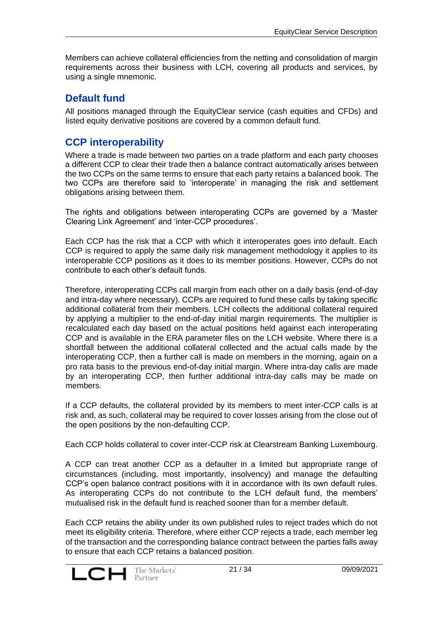Members can achieve collateral efficiencies from the netting and consolidation of margin requirements across their business with LCH, covering all products and services, by using a single mnemonic.

# <span id="page-20-0"></span>**Default fund**

All positions managed through the EquityClear service (cash equities and CFDs) and listed equity derivative positions are covered by a common default fund.

## <span id="page-20-1"></span>**CCP interoperability**

Where a trade is made between two parties on a trade platform and each party chooses a different CCP to clear their trade then a balance contract automatically arises between the two CCPs on the same terms to ensure that each party retains a balanced book. The two CCPs are therefore said to 'interoperate' in managing the risk and settlement obligations arising between them.

The rights and obligations between interoperating CCPs are governed by a 'Master Clearing Link Agreement' and 'inter-CCP procedures'.

Each CCP has the risk that a CCP with which it interoperates goes into default. Each CCP is required to apply the same daily risk management methodology it applies to its interoperable CCP positions as it does to its member positions. However, CCPs do not contribute to each other's default funds.

Therefore, interoperating CCPs call margin from each other on a daily basis (end-of-day and intra-day where necessary). CCPs are required to fund these calls by taking specific additional collateral from their members. LCH collects the additional collateral required by applying a multiplier to the end-of-day initial margin requirements. The multiplier is recalculated each day based on the actual positions held against each interoperating CCP and is available in the ERA parameter files on the LCH website. Where there is a shortfall between the additional collateral collected and the actual calls made by the interoperating CCP, then a further call is made on members in the morning, again on a pro rata basis to the previous end-of-day initial margin. Where intra-day calls are made by an interoperating CCP, then further additional intra-day calls may be made on members.

If a CCP defaults, the collateral provided by its members to meet inter-CCP calls is at risk and, as such, collateral may be required to cover losses arising from the close out of the open positions by the non-defaulting CCP.

Each CCP holds collateral to cover inter-CCP risk at Clearstream Banking Luxembourg.

A CCP can treat another CCP as a defaulter in a limited but appropriate range of circumstances (including, most importantly, insolvency) and manage the defaulting CCP's open balance contract positions with it in accordance with its own default rules. As interoperating CCPs do not contribute to the LCH default fund, the members' mutualised risk in the default fund is reached sooner than for a member default.

Each CCP retains the ability under its own published rules to reject trades which do not meet its eligibility criteria. Therefore, where either CCP rejects a trade, each member leg of the transaction and the corresponding balance contract between the parties falls away to ensure that each CCP retains a balanced position.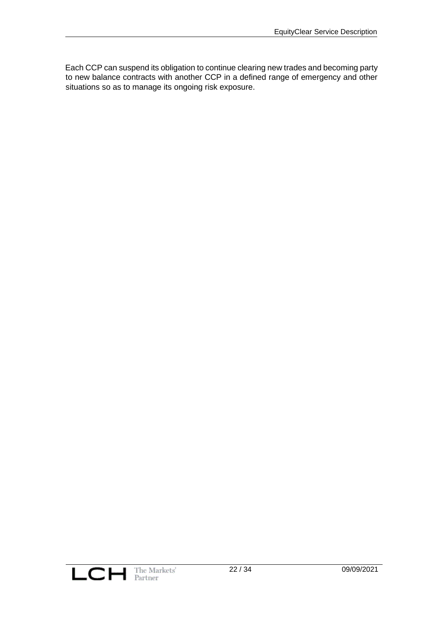Each CCP can suspend its obligation to continue clearing new trades and becoming party to new balance contracts with another CCP in a defined range of emergency and other situations so as to manage its ongoing risk exposure.

![](_page_21_Picture_2.jpeg)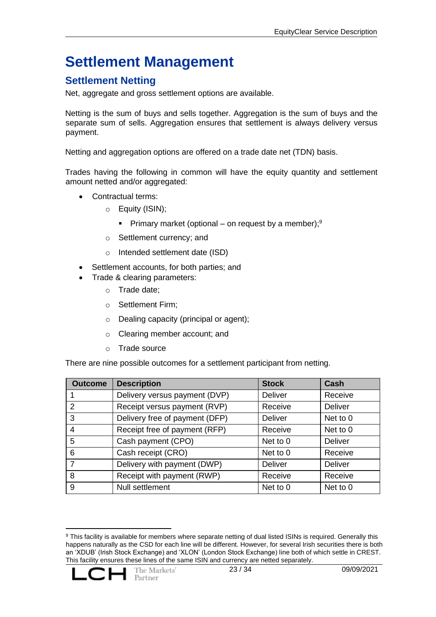# <span id="page-22-0"></span>**Settlement Management**

# <span id="page-22-1"></span>**Settlement Netting**

Net, aggregate and gross settlement options are available.

Netting is the sum of buys and sells together. Aggregation is the sum of buys and the separate sum of sells. Aggregation ensures that settlement is always delivery versus payment.

Netting and aggregation options are offered on a trade date net (TDN) basis.

Trades having the following in common will have the equity quantity and settlement amount netted and/or aggregated:

- Contractual terms:
	- o Equity (ISIN);
		- **•** Primary market (optional on request by a member);<sup>9</sup>
	- o Settlement currency; and
	- o Intended settlement date (ISD)
- Settlement accounts, for both parties; and
- Trade & clearing parameters:
	- o Trade date;
	- o Settlement Firm;
	- o Dealing capacity (principal or agent);
	- o Clearing member account; and
	- o Trade source

There are nine possible outcomes for a settlement participant from netting.

| <b>Outcome</b> | <b>Description</b>             | <b>Stock</b>   | Cash           |
|----------------|--------------------------------|----------------|----------------|
|                | Delivery versus payment (DVP)  | <b>Deliver</b> | Receive        |
| 2              | Receipt versus payment (RVP)   | Receive        | <b>Deliver</b> |
| 3              | Delivery free of payment (DFP) | <b>Deliver</b> | Net to 0       |
| 4              | Receipt free of payment (RFP)  | Receive        | Net to 0       |
| 5              | Cash payment (CPO)             | Net to 0       | <b>Deliver</b> |
| 6              | Cash receipt (CRO)             | Net to 0       | Receive        |
| 7              | Delivery with payment (DWP)    | <b>Deliver</b> | <b>Deliver</b> |
| 8              | Receipt with payment (RWP)     | Receive        | Receive        |
| 9              | Null settlement                | Net to 0       | Net to 0       |

<sup>9</sup> This facility is available for members where separate netting of dual listed ISINs is required. Generally this happens naturally as the CSD for each line will be different. However, for several Irish securities there is both an 'XDUB' (Irish Stock Exchange) and 'XLON' (London Stock Exchange) line both of which settle in CREST. This facility ensures these lines of the same ISIN and currency are netted separately.

![](_page_22_Picture_22.jpeg)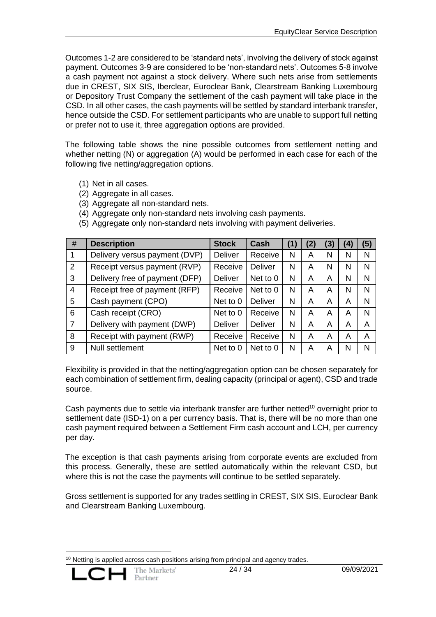Outcomes 1-2 are considered to be 'standard nets', involving the delivery of stock against payment. Outcomes 3-9 are considered to be 'non-standard nets'. Outcomes 5-8 involve a cash payment not against a stock delivery. Where such nets arise from settlements due in CREST, SIX SIS, Iberclear, Euroclear Bank, Clearstream Banking Luxembourg or Depository Trust Company the settlement of the cash payment will take place in the CSD. In all other cases, the cash payments will be settled by standard interbank transfer, hence outside the CSD. For settlement participants who are unable to support full netting or prefer not to use it, three aggregation options are provided.

The following table shows the nine possible outcomes from settlement netting and whether netting (N) or aggregation (A) would be performed in each case for each of the following five netting/aggregation options.

- (1) Net in all cases.
- (2) Aggregate in all cases.
- (3) Aggregate all non-standard nets.
- (4) Aggregate only non-standard nets involving cash payments.

| #              | <b>Description</b>             | <b>Stock</b>   | Cash           | (1) | (2) | (3) | (4) | (5) |
|----------------|--------------------------------|----------------|----------------|-----|-----|-----|-----|-----|
|                | Delivery versus payment (DVP)  | <b>Deliver</b> | Receive        | N   | A   | N   | N   | N   |
| 2              | Receipt versus payment (RVP)   | Receive        | <b>Deliver</b> | N   | A   | N   | N   | N   |
| 3              | Delivery free of payment (DFP) | <b>Deliver</b> | Net to 0       | N   | A   | A   | N   | N   |
| 4              | Receipt free of payment (RFP)  | Receive        | Net to 0       | N   | A   | A   | N   | N   |
| 5              | Cash payment (CPO)             | Net to 0       | <b>Deliver</b> | N   | A   | A   | A   | N   |
| 6              | Cash receipt (CRO)             | Net to 0       | Receive        | N   | A   | A   | A   | N   |
| $\overline{7}$ | Delivery with payment (DWP)    | <b>Deliver</b> | <b>Deliver</b> | N   | A   | A   | A   | A   |
| 8              | Receipt with payment (RWP)     | Receive        | Receive        | N   | A   | A   | A   | A   |
| 9              | Null settlement                | Net to 0       | Net to 0       | N   | A   | A   | N   | N   |

(5) Aggregate only non-standard nets involving with payment deliveries.

Flexibility is provided in that the netting/aggregation option can be chosen separately for each combination of settlement firm, dealing capacity (principal or agent), CSD and trade source.

Cash payments due to settle via interbank transfer are further netted<sup>10</sup> overnight prior to settlement date (ISD-1) on a per currency basis. That is, there will be no more than one cash payment required between a Settlement Firm cash account and LCH, per currency per day.

The exception is that cash payments arising from corporate events are excluded from this process. Generally, these are settled automatically within the relevant CSD, but where this is not the case the payments will continue to be settled separately.

Gross settlement is supported for any trades settling in CREST, SIX SIS, Euroclear Bank and Clearstream Banking Luxembourg.

 $10$  Netting is applied across cash positions arising from principal and agency trades.

![](_page_23_Picture_14.jpeg)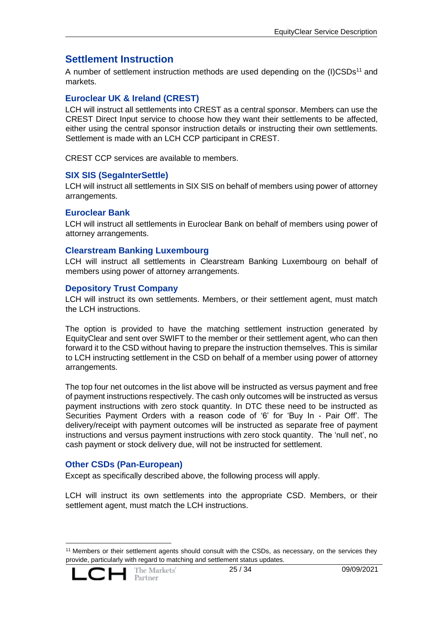## <span id="page-24-0"></span>**Settlement Instruction**

A number of settlement instruction methods are used depending on the (I)CSDs<sup>11</sup> and markets.

#### <span id="page-24-1"></span>**Euroclear UK & Ireland (CREST)**

LCH will instruct all settlements into CREST as a central sponsor. Members can use the CREST Direct Input service to choose how they want their settlements to be affected, either using the central sponsor instruction details or instructing their own settlements. Settlement is made with an LCH CCP participant in CREST.

CREST CCP services are available to members.

#### <span id="page-24-2"></span>**SIX SIS (SegaInterSettle)**

LCH will instruct all settlements in SIX SIS on behalf of members using power of attorney arrangements.

#### <span id="page-24-3"></span>**Euroclear Bank**

LCH will instruct all settlements in Euroclear Bank on behalf of members using power of attorney arrangements.

#### <span id="page-24-4"></span>**Clearstream Banking Luxembourg**

LCH will instruct all settlements in Clearstream Banking Luxembourg on behalf of members using power of attorney arrangements.

#### <span id="page-24-5"></span>**Depository Trust Company**

LCH will instruct its own settlements. Members, or their settlement agent, must match the LCH instructions.

The option is provided to have the matching settlement instruction generated by EquityClear and sent over SWIFT to the member or their settlement agent, who can then forward it to the CSD without having to prepare the instruction themselves. This is similar to LCH instructing settlement in the CSD on behalf of a member using power of attorney arrangements.

The top four net outcomes in the list above will be instructed as versus payment and free of payment instructions respectively. The cash only outcomes will be instructed as versus payment instructions with zero stock quantity. In DTC these need to be instructed as Securities Payment Orders with a reason code of '6' for 'Buy In - Pair Off'. The delivery/receipt with payment outcomes will be instructed as separate free of payment instructions and versus payment instructions with zero stock quantity. The 'null net', no cash payment or stock delivery due, will not be instructed for settlement.

#### <span id="page-24-6"></span>**Other CSDs (Pan-European)**

Except as specifically described above, the following process will apply.

LCH will instruct its own settlements into the appropriate CSD. Members, or their settlement agent, must match the LCH instructions.

<sup>&</sup>lt;sup>11</sup> Members or their settlement agents should consult with the CSDs, as necessary, on the services they provide, particularly with regard to matching and settlement status updates.

![](_page_24_Picture_20.jpeg)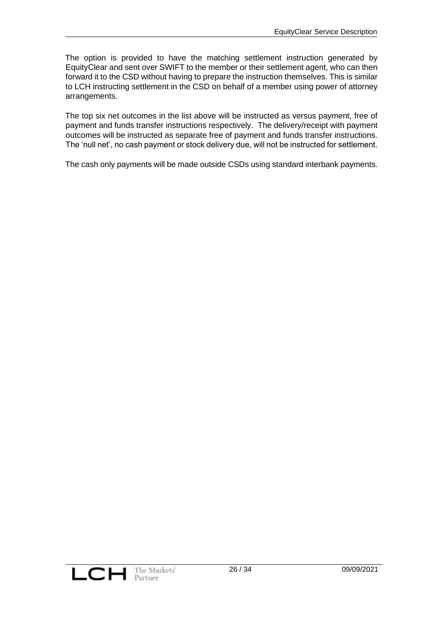The option is provided to have the matching settlement instruction generated by EquityClear and sent over SWIFT to the member or their settlement agent, who can then forward it to the CSD without having to prepare the instruction themselves. This is similar to LCH instructing settlement in the CSD on behalf of a member using power of attorney arrangements.

The top six net outcomes in the list above will be instructed as versus payment, free of payment and funds transfer instructions respectively. The delivery/receipt with payment outcomes will be instructed as separate free of payment and funds transfer instructions. The 'null net', no cash payment or stock delivery due, will not be instructed for settlement.

The cash only payments will be made outside CSDs using standard interbank payments.

![](_page_25_Picture_4.jpeg)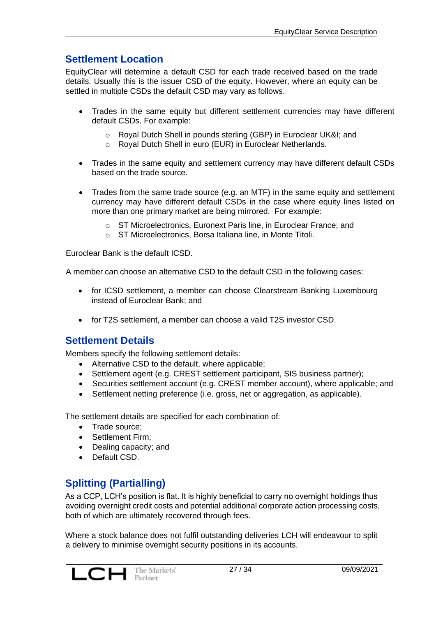# <span id="page-26-0"></span>**Settlement Location**

EquityClear will determine a default CSD for each trade received based on the trade details. Usually this is the issuer CSD of the equity. However, where an equity can be settled in multiple CSDs the default CSD may vary as follows.

- Trades in the same equity but different settlement currencies may have different default CSDs. For example:
	- o Royal Dutch Shell in pounds sterling (GBP) in Euroclear UK&I; and
	- o Royal Dutch Shell in euro (EUR) in Euroclear Netherlands.
- Trades in the same equity and settlement currency may have different default CSDs based on the trade source.
- Trades from the same trade source (e.g. an MTF) in the same equity and settlement currency may have different default CSDs in the case where equity lines listed on more than one primary market are being mirrored. For example:
	- o ST Microelectronics, Euronext Paris line, in Euroclear France; and
	- o ST Microelectronics, Borsa Italiana line, in Monte Titoli.

Euroclear Bank is the default ICSD.

A member can choose an alternative CSD to the default CSD in the following cases:

- for ICSD settlement, a member can choose Clearstream Banking Luxembourg instead of Euroclear Bank; and
- for T2S settlement, a member can choose a valid T2S investor CSD.

#### <span id="page-26-1"></span>**Settlement Details**

Members specify the following settlement details:

- Alternative CSD to the default, where applicable;
- Settlement agent (e.g. CREST settlement participant, SIS business partner);
- Securities settlement account (e.g. CREST member account), where applicable; and
- Settlement netting preference (i.e. gross, net or aggregation, as applicable).

The settlement details are specified for each combination of:

- Trade source;
- Settlement Firm;
- Dealing capacity; and
- Default CSD.

# <span id="page-26-2"></span>**Splitting (Partialling)**

As a CCP, LCH's position is flat. It is highly beneficial to carry no overnight holdings thus avoiding overnight credit costs and potential additional corporate action processing costs, both of which are ultimately recovered through fees.

Where a stock balance does not fulfil outstanding deliveries LCH will endeavour to split a delivery to minimise overnight security positions in its accounts.

![](_page_26_Picture_28.jpeg)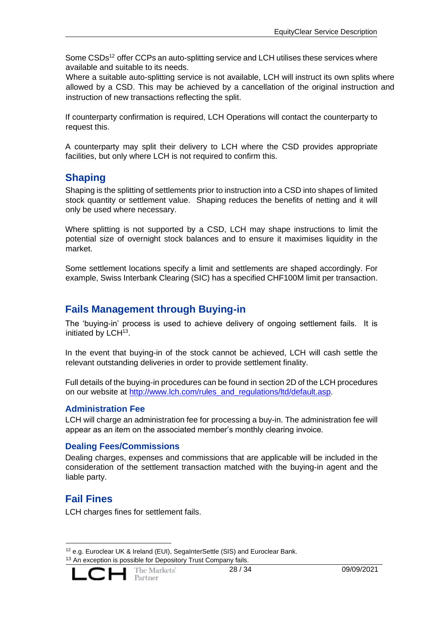Some CSDs<sup>12</sup> offer CCPs an auto-splitting service and LCH utilises these services where available and suitable to its needs.

Where a suitable auto-splitting service is not available, LCH will instruct its own splits where allowed by a CSD. This may be achieved by a cancellation of the original instruction and instruction of new transactions reflecting the split.

If counterparty confirmation is required, LCH Operations will contact the counterparty to request this.

A counterparty may split their delivery to LCH where the CSD provides appropriate facilities, but only where LCH is not required to confirm this.

# <span id="page-27-0"></span>**Shaping**

Shaping is the splitting of settlements prior to instruction into a CSD into shapes of limited stock quantity or settlement value. Shaping reduces the benefits of netting and it will only be used where necessary.

Where splitting is not supported by a CSD, LCH may shape instructions to limit the potential size of overnight stock balances and to ensure it maximises liquidity in the market.

Some settlement locations specify a limit and settlements are shaped accordingly. For example, Swiss Interbank Clearing (SIC) has a specified CHF100M limit per transaction.

#### <span id="page-27-1"></span>**Fails Management through Buying-in**

The 'buying-in' process is used to achieve delivery of ongoing settlement fails. It is initiated by LCH<sup>13</sup>.

In the event that buying-in of the stock cannot be achieved, LCH will cash settle the relevant outstanding deliveries in order to provide settlement finality.

Full details of the buying-in procedures can be found in section 2D of the LCH procedures on our website at [http://www.lch.com/rules\\_and\\_regulations/ltd/default.asp.](http://www.lch.com/rules_and_regulations/ltd/default.asp)

#### <span id="page-27-2"></span>**Administration Fee**

LCH will charge an administration fee for processing a buy-in. The administration fee will appear as an item on the associated member's monthly clearing invoice.

#### <span id="page-27-3"></span>**Dealing Fees/Commissions**

Dealing charges, expenses and commissions that are applicable will be included in the consideration of the settlement transaction matched with the buying-in agent and the liable party.

# <span id="page-27-4"></span>**Fail Fines**

LCH charges fines for settlement fails.

<sup>12</sup> e.g. Euroclear UK & Ireland (EUI), SegaInterSettle (SIS) and Euroclear Bank. <sup>13</sup> An exception is possible for Depository Trust Company fails.

![](_page_27_Picture_20.jpeg)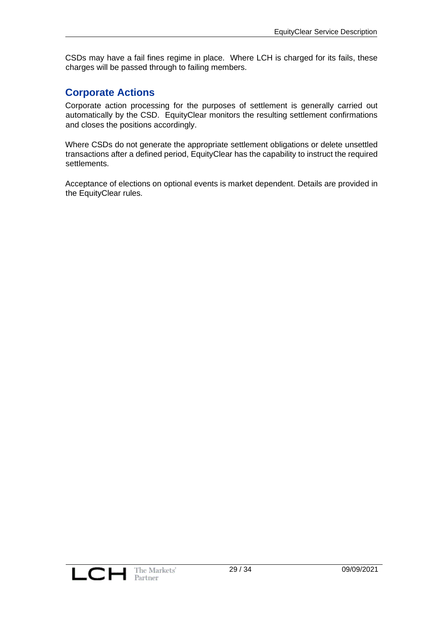CSDs may have a fail fines regime in place. Where LCH is charged for its fails, these charges will be passed through to failing members.

#### <span id="page-28-0"></span>**Corporate Actions**

Corporate action processing for the purposes of settlement is generally carried out automatically by the CSD. EquityClear monitors the resulting settlement confirmations and closes the positions accordingly.

Where CSDs do not generate the appropriate settlement obligations or delete unsettled transactions after a defined period, EquityClear has the capability to instruct the required settlements.

Acceptance of elections on optional events is market dependent. Details are provided in the EquityClear rules.

![](_page_28_Picture_6.jpeg)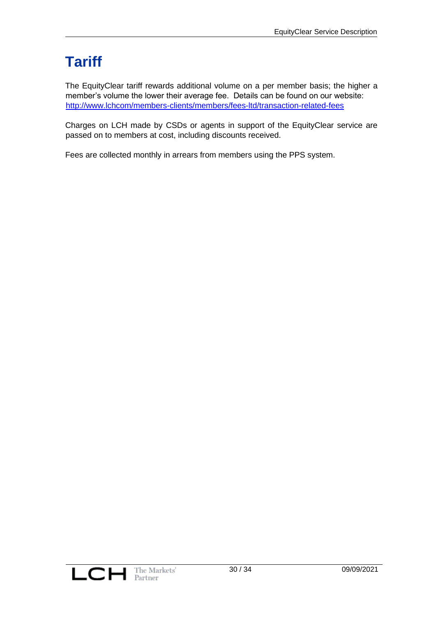# <span id="page-29-0"></span>**Tariff**

The EquityClear tariff rewards additional volume on a per member basis; the higher a member's volume the lower their average fee. Details can be found on our website: <http://www.lchcom/members-clients/members/fees-ltd/transaction-related-fees>

Charges on LCH made by CSDs or agents in support of the EquityClear service are passed on to members at cost, including discounts received.

Fees are collected monthly in arrears from members using the PPS system.

![](_page_29_Picture_5.jpeg)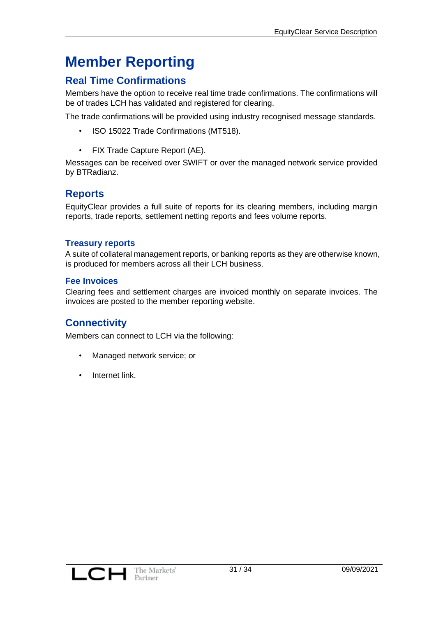# <span id="page-30-0"></span>**Member Reporting**

# <span id="page-30-1"></span>**Real Time Confirmations**

Members have the option to receive real time trade confirmations. The confirmations will be of trades LCH has validated and registered for clearing.

The trade confirmations will be provided using industry recognised message standards.

- ISO 15022 Trade Confirmations (MT518).
- FIX Trade Capture Report (AE).

Messages can be received over SWIFT or over the managed network service provided by BTRadianz.

#### <span id="page-30-2"></span>**Reports**

EquityClear provides a full suite of reports for its clearing members, including margin reports, trade reports, settlement netting reports and fees volume reports.

#### <span id="page-30-3"></span>**Treasury reports**

A suite of collateral management reports, or banking reports as they are otherwise known, is produced for members across all their LCH business.

#### <span id="page-30-4"></span>**Fee Invoices**

Clearing fees and settlement charges are invoiced monthly on separate invoices. The invoices are posted to the member reporting website.

#### <span id="page-30-5"></span>**Connectivity**

Members can connect to LCH via the following:

- Managed network service; or
- Internet link.

![](_page_30_Picture_18.jpeg)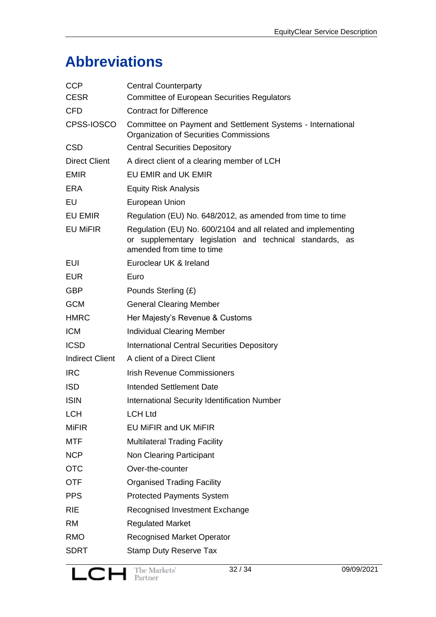# <span id="page-31-0"></span>**Abbreviations**

| Committee on Payment and Settlement Systems - International<br>Regulation (EU) No. 648/2012, as amended from time to time    |
|------------------------------------------------------------------------------------------------------------------------------|
|                                                                                                                              |
|                                                                                                                              |
|                                                                                                                              |
|                                                                                                                              |
|                                                                                                                              |
|                                                                                                                              |
|                                                                                                                              |
|                                                                                                                              |
|                                                                                                                              |
| Regulation (EU) No. 600/2104 and all related and implementing<br>or supplementary legislation and technical standards,<br>as |
|                                                                                                                              |
|                                                                                                                              |
|                                                                                                                              |
|                                                                                                                              |
|                                                                                                                              |
|                                                                                                                              |
|                                                                                                                              |
|                                                                                                                              |
|                                                                                                                              |
|                                                                                                                              |
|                                                                                                                              |
|                                                                                                                              |
|                                                                                                                              |
|                                                                                                                              |
|                                                                                                                              |
|                                                                                                                              |
|                                                                                                                              |
|                                                                                                                              |
|                                                                                                                              |
|                                                                                                                              |
|                                                                                                                              |
|                                                                                                                              |
|                                                                                                                              |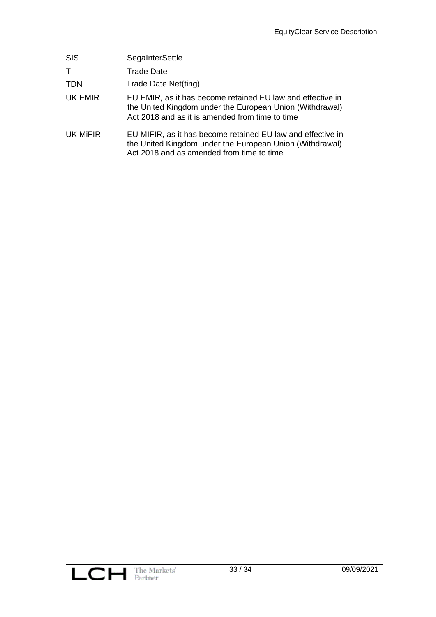| <b>SIS</b> | SegaInterSettle                                                                                                                                                           |
|------------|---------------------------------------------------------------------------------------------------------------------------------------------------------------------------|
| T          | <b>Trade Date</b>                                                                                                                                                         |
| TDN        | Trade Date Net(ting)                                                                                                                                                      |
| UK EMIR    | EU EMIR, as it has become retained EU law and effective in<br>the United Kingdom under the European Union (Withdrawal)<br>Act 2018 and as it is amended from time to time |
| UK MIFIR   | EU MIFIR, as it has become retained EU law and effective in<br>the United Kingdom under the European Union (Withdrawal)<br>Act 2018 and as amended from time to time      |